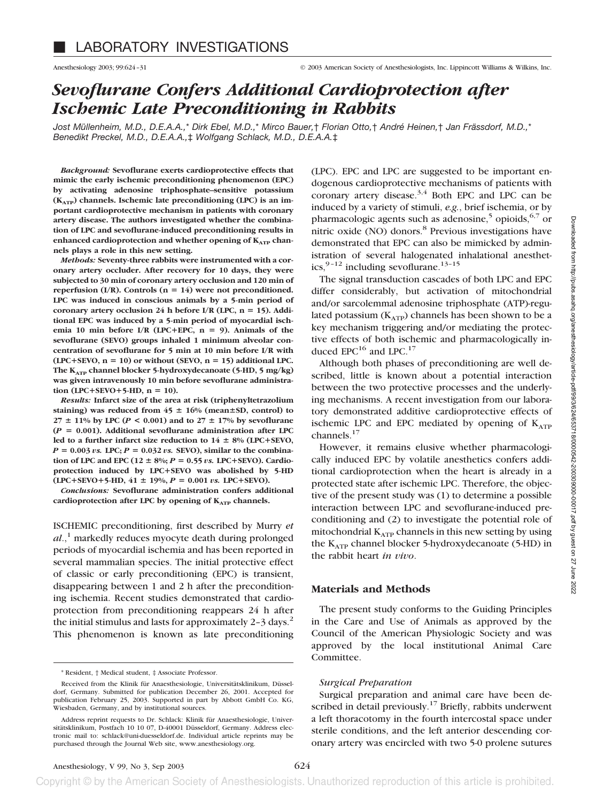# *Sevoflurane Confers Additional Cardioprotection after Ischemic Late Preconditioning in Rabbits*

*Jost Müllenheim, M.D., D.E.A.A.,*\* *Dirk Ebel, M.D.,*\* *Mirco Bauer,*† *Florian Otto,*† *André Heinen,*† *Jan Frässdorf, M.D.,*\* *Benedikt Preckel, M.D., D.E.A.A.,*‡ *Wolfgang Schlack, M.D., D.E.A.A.*‡

*Background:* **Sevoflurane exerts cardioprotective effects that mimic the early ischemic preconditioning phenomenon (EPC) by activating adenosine triphosphate–sensitive potassium (KATP) channels. Ischemic late preconditioning (LPC) is an important cardioprotective mechanism in patients with coronary artery disease. The authors investigated whether the combination of LPC and sevoflurane-induced preconditioning results in** enhanced cardioprotection and whether opening of K<sub>ATP</sub> chan**nels plays a role in this new setting.**

*Methods:* **Seventy-three rabbits were instrumented with a coronary artery occluder. After recovery for 10 days, they were subjected to 30 min of coronary artery occlusion and 120 min of reperfusion** (I/R). Controls  $(n = 14)$  were not preconditioned. **LPC was induced in conscious animals by a 5-min period of** coronary artery occlusion 24 h before I/R (LPC, n = 15). Addi**tional EPC was induced by a 5-min period of myocardial ischemia 10 min before I/R (LPC**-**EPC, n 9). Animals of the sevoflurane (SEVO) groups inhaled 1 minimum alveolar concentration of sevoflurane for 5 min at 10 min before I/R with**  $(LPC+SEVO, n = 10)$  or without  $(SEVO, n = 15)$  additional LPC. **The KATP channel blocker 5-hydroxydecanoate (5-HD, 5 mg/kg) was given intravenously 10 min before sevoflurane administra** $tion$  (LPC+SEVO+5-HD,  $n = 10$ ).

*Results:* **Infarct size of the area at risk (triphenyltetrazolium** staining) was reduced from  $45 \pm 16\%$  (mean $\pm$ SD, control) to  $27 \pm 11\%$  by LPC ( $P < 0.001$ ) and to  $27 \pm 17\%$  by sevoflurane  $(P = 0.001)$ . Additional sevoflurane administration after LPC **led to a further infarct size reduction to 14 8% (LPC**-**SEVO,**  $P = 0.003$  *vs.* **LPC;**  $P = 0.032$  *vs.* **SEVO**), similar to the combina**tion of LPC and EPC** ( $12 \pm 8\%$ ;  $P = 0.55$  *vs.* LPC+SEVO). Cardio**protection induced by LPC**-**SEVO was abolished by 5-HD**  $(LPC + SEVO + 5-HD, 41 \pm 19\%, P = 0.001 \text{ vs. } LPC + SEVO).$ 

*Conclusions:* **Sevoflurane administration confers additional** cardioprotection after LPC by opening of K<sub>ATP</sub> channels.

ISCHEMIC preconditioning, first described by Murry *et al*.,<sup>1</sup> markedly reduces myocyte death during prolonged periods of myocardial ischemia and has been reported in several mammalian species. The initial protective effect of classic or early preconditioning (EPC) is transient, disappearing between 1 and 2 h after the preconditioning ischemia. Recent studies demonstrated that cardioprotection from preconditioning reappears 24 h after the initial stimulus and lasts for approximately  $2-3$  days.<sup>2</sup> This phenomenon is known as late preconditioning

(LPC). EPC and LPC are suggested to be important endogenous cardioprotective mechanisms of patients with coronary artery disease. $3,4$  Both EPC and LPC can be induced by a variety of stimuli, *e.g.*, brief ischemia, or by pharmacologic agents such as adenosine,<sup>5</sup> opioids, $6,7$  or nitric oxide (NO) donors.<sup>8</sup> Previous investigations have demonstrated that EPC can also be mimicked by administration of several halogenated inhalational anesthetics,  $9-12$  including sevoflurane.<sup>13-15</sup>

The signal transduction cascades of both LPC and EPC differ considerably, but activation of mitochondrial and/or sarcolemmal adenosine triphosphate (ATP)-regulated potassium  $(K<sub>ATP</sub>)$  channels has been shown to be a key mechanism triggering and/or mediating the protective effects of both ischemic and pharmacologically induced EPC<sup>16</sup> and LPC.<sup>17</sup>

Although both phases of preconditioning are well described, little is known about a potential interaction between the two protective processes and the underlying mechanisms. A recent investigation from our laboratory demonstrated additive cardioprotective effects of ischemic LPC and EPC mediated by opening of  $K_{ATP}$ channels. $17$ 

However, it remains elusive whether pharmacologically induced EPC by volatile anesthetics confers additional cardioprotection when the heart is already in a protected state after ischemic LPC. Therefore, the objective of the present study was (1) to determine a possible interaction between LPC and sevoflurane-induced preconditioning and (2) to investigate the potential role of mitochondrial  $K_{ATP}$  channels in this new setting by using the  $K_{ATP}$  channel blocker 5-hydroxydecanoate (5-HD) in the rabbit heart *in vivo*.

#### **Materials and Methods**

The present study conforms to the Guiding Principles in the Care and Use of Animals as approved by the Council of the American Physiologic Society and was approved by the local institutional Animal Care Committee.

#### *Surgical Preparation*

Surgical preparation and animal care have been described in detail previously.<sup>17</sup> Briefly, rabbits underwent a left thoracotomy in the fourth intercostal space under sterile conditions, and the left anterior descending coronary artery was encircled with two 5-0 prolene sutures

<sup>\*</sup> Resident, † Medical student, ‡ Associate Professor.

Received from the Klinik für Anaesthesiologie, Universitätsklinikum, Düsseldorf, Germany. Submitted for publication December 26, 2001. Accepted for publication February 25, 2003. Supported in part by Abbott GmbH Co. KG, Wiesbaden, Germany, and by institutional sources.

Address reprint requests to Dr. Schlack: Klinik für Anaesthesiologie, Universitätsklinikum, Postfach 10 10 07, D-40001 Düsseldorf, Germany. Address electronic mail to: schlack@uni-duesseldorf.de. Individual article reprints may be purchased through the Journal Web site, www.anesthesiology.org.

Copyright © by the American Society of Anesthesiologists. Unauthorized reproduction of this article is prohibited.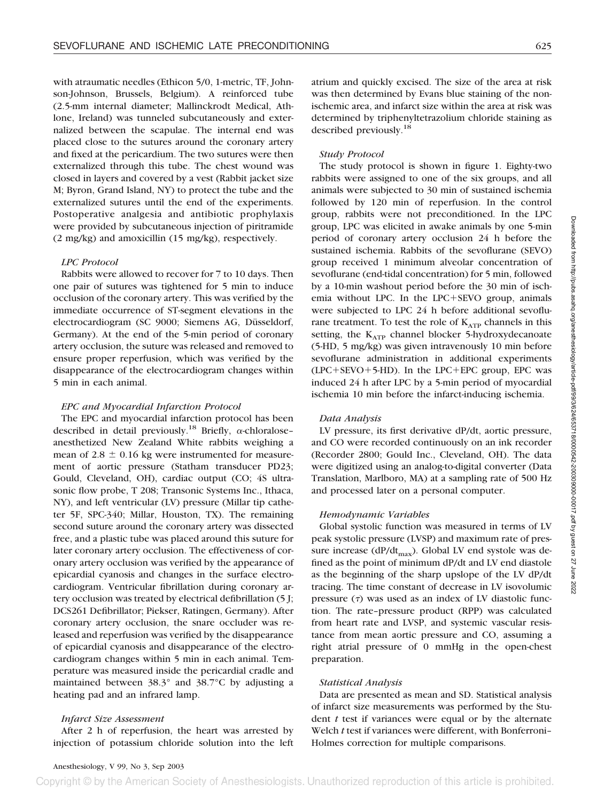with atraumatic needles (Ethicon 5/0, 1-metric, TF, Johnson-Johnson, Brussels, Belgium). A reinforced tube (2.5-mm internal diameter; Mallinckrodt Medical, Athlone, Ireland) was tunneled subcutaneously and externalized between the scapulae. The internal end was placed close to the sutures around the coronary artery and fixed at the pericardium. The two sutures were then externalized through this tube. The chest wound was closed in layers and covered by a vest (Rabbit jacket size M; Byron, Grand Island, NY) to protect the tube and the externalized sutures until the end of the experiments. Postoperative analgesia and antibiotic prophylaxis were provided by subcutaneous injection of piritramide (2 mg/kg) and amoxicillin (15 mg/kg), respectively.

#### *LPC Protocol*

Rabbits were allowed to recover for 7 to 10 days. Then one pair of sutures was tightened for 5 min to induce occlusion of the coronary artery. This was verified by the immediate occurrence of ST-segment elevations in the electrocardiogram (SC 9000; Siemens AG, Düsseldorf, Germany). At the end of the 5-min period of coronary artery occlusion, the suture was released and removed to ensure proper reperfusion, which was verified by the disappearance of the electrocardiogram changes within 5 min in each animal.

#### *EPC and Myocardial Infarction Protocol*

The EPC and myocardial infarction protocol has been described in detail previously.<sup>18</sup> Briefly,  $\alpha$ -chloraloseanesthetized New Zealand White rabbits weighing a mean of  $2.8 \pm 0.16$  kg were instrumented for measurement of aortic pressure (Statham transducer PD23; Gould, Cleveland, OH), cardiac output (CO; 4S ultrasonic flow probe, T 208; Transonic Systems Inc., Ithaca, NY), and left ventricular (LV) pressure (Millar tip catheter 5F, SPC-340; Millar, Houston, TX). The remaining second suture around the coronary artery was dissected free, and a plastic tube was placed around this suture for later coronary artery occlusion. The effectiveness of coronary artery occlusion was verified by the appearance of epicardial cyanosis and changes in the surface electrocardiogram. Ventricular fibrillation during coronary artery occlusion was treated by electrical defibrillation (5 J; DCS261 Defibrillator; Piekser, Ratingen, Germany). After coronary artery occlusion, the snare occluder was released and reperfusion was verified by the disappearance of epicardial cyanosis and disappearance of the electrocardiogram changes within 5 min in each animal. Temperature was measured inside the pericardial cradle and maintained between 38.3° and 38.7°C by adjusting a heating pad and an infrared lamp.

# *Infarct Size Assessment*

After 2 h of reperfusion, the heart was arrested by injection of potassium chloride solution into the left atrium and quickly excised. The size of the area at risk was then determined by Evans blue staining of the nonischemic area, and infarct size within the area at risk was determined by triphenyltetrazolium chloride staining as described previously.<sup>18</sup>

# *Study Protocol*

The study protocol is shown in figure 1. Eighty-two rabbits were assigned to one of the six groups, and all animals were subjected to 30 min of sustained ischemia followed by 120 min of reperfusion. In the control group, rabbits were not preconditioned. In the LPC group, LPC was elicited in awake animals by one 5-min period of coronary artery occlusion 24 h before the sustained ischemia. Rabbits of the sevoflurane (SEVO) group received 1 minimum alveolar concentration of sevoflurane (end-tidal concentration) for 5 min, followed by a 10-min washout period before the 30 min of ischemia without LPC. In the LPC-SEVO group, animals were subjected to LPC 24 h before additional sevoflurane treatment. To test the role of  $K_{ATP}$  channels in this setting, the  $K_{ATP}$  channel blocker 5-hydroxydecanoate (5-HD, 5 mg/kg) was given intravenously 10 min before sevoflurane administration in additional experiments (LPC-SEVO-5-HD). In the LPC-EPC group, EPC was induced 24 h after LPC by a 5-min period of myocardial ischemia 10 min before the infarct-inducing ischemia.

# *Data Analysis*

LV pressure, its first derivative dP/dt, aortic pressure, and CO were recorded continuously on an ink recorder (Recorder 2800; Gould Inc., Cleveland, OH). The data were digitized using an analog-to-digital converter (Data Translation, Marlboro, MA) at a sampling rate of 500 Hz and processed later on a personal computer.

# *Hemodynamic Variables*

Global systolic function was measured in terms of LV peak systolic pressure (LVSP) and maximum rate of pressure increase (dP/dt<sub>max</sub>). Global LV end systole was defined as the point of minimum dP/dt and LV end diastole as the beginning of the sharp upslope of the LV dP/dt tracing. The time constant of decrease in LV isovolumic pressure  $(7)$  was used as an index of LV diastolic function. The rate–pressure product (RPP) was calculated from heart rate and LVSP, and systemic vascular resistance from mean aortic pressure and CO, assuming a right atrial pressure of 0 mmHg in the open-chest preparation.

# *Statistical Analysis*

Data are presented as mean and SD. Statistical analysis of infarct size measurements was performed by the Student *t* test if variances were equal or by the alternate Welch *t* test if variances were different, with Bonferroni– Holmes correction for multiple comparisons.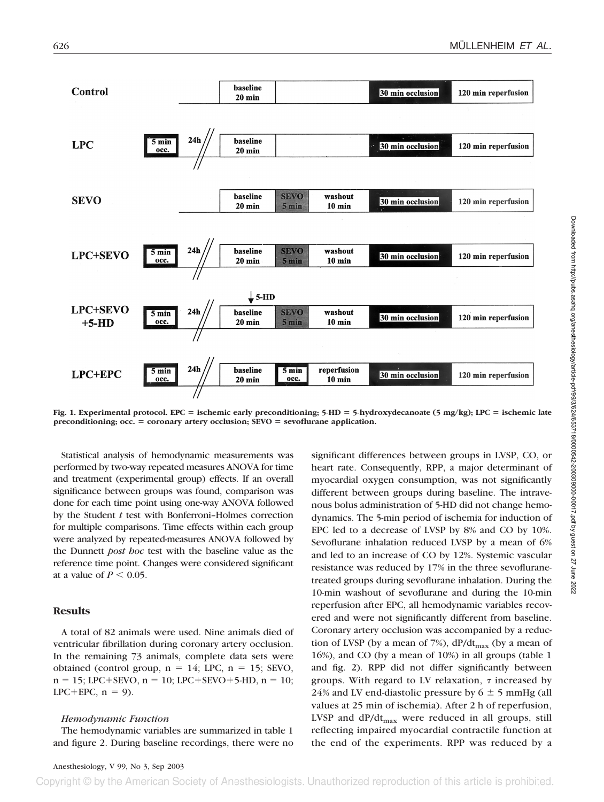

**Fig. 1. Experimental protocol. EPC ischemic early preconditioning; 5-HD 5-hydroxydecanoate (5 mg/kg); LPC ischemic late preconditioning; occ. coronary artery occlusion; SEVO sevoflurane application.**

Statistical analysis of hemodynamic measurements was performed by two-way repeated measures ANOVA for time and treatment (experimental group) effects. If an overall significance between groups was found, comparison was done for each time point using one-way ANOVA followed by the Student *t* test with Bonferroni–Holmes correction for multiple comparisons. Time effects within each group were analyzed by repeated-measures ANOVA followed by the Dunnett *post hoc* test with the baseline value as the reference time point. Changes were considered significant at a value of  $P \leq 0.05$ .

# **Results**

A total of 82 animals were used. Nine animals died of ventricular fibrillation during coronary artery occlusion. In the remaining 73 animals, complete data sets were obtained (control group,  $n = 14$ ; LPC,  $n = 15$ ; SEVO,  $n = 15$ ; LPC+SEVO,  $n = 10$ ; LPC+SEVO+5-HD,  $n = 10$ ;  $LPC+EPC$ ,  $n = 9$ ).

#### *Hemodynamic Function*

The hemodynamic variables are summarized in table 1 and figure 2. During baseline recordings, there were no

significant differences between groups in LVSP, CO, or heart rate. Consequently, RPP, a major determinant of myocardial oxygen consumption, was not significantly different between groups during baseline. The intravenous bolus administration of 5-HD did not change hemodynamics. The 5-min period of ischemia for induction of EPC led to a decrease of LVSP by 8% and CO by 10%. Sevoflurane inhalation reduced LVSP by a mean of 6% and led to an increase of CO by 12%. Systemic vascular resistance was reduced by 17% in the three sevofluranetreated groups during sevoflurane inhalation. During the 10-min washout of sevoflurane and during the 10-min reperfusion after EPC, all hemodynamic variables recovered and were not significantly different from baseline. Coronary artery occlusion was accompanied by a reduction of LVSP (by a mean of 7%),  $dP/dt_{max}$  (by a mean of 16%), and CO (by a mean of 10%) in all groups (table 1 and fig. 2). RPP did not differ significantly between groups. With regard to LV relaxation,  $\tau$  increased by 24% and LV end-diastolic pressure by  $6 \pm 5$  mmHg (all values at 25 min of ischemia). After 2 h of reperfusion, LVSP and  $dP/dt_{max}$  were reduced in all groups, still reflecting impaired myocardial contractile function at the end of the experiments. RPP was reduced by a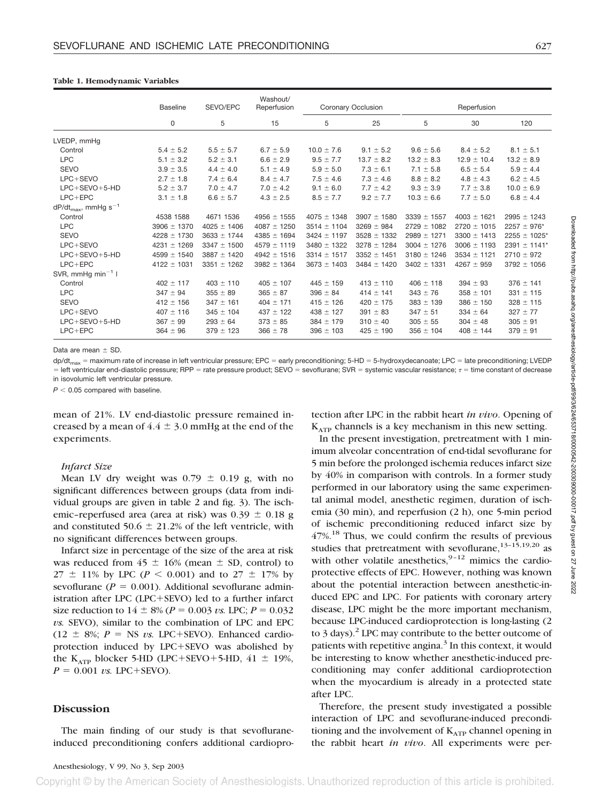|  |  |  | Table 1. Hemodynamic Variables |
|--|--|--|--------------------------------|
|--|--|--|--------------------------------|

|                                             | <b>Baseline</b> | SEVO/EPC        | Washout/<br>Reperfusion | Coronary Occlusion |                 | Reperfusion     |                 |                              |
|---------------------------------------------|-----------------|-----------------|-------------------------|--------------------|-----------------|-----------------|-----------------|------------------------------|
|                                             | 0               | 5               | 15                      | 5                  | 25              | 5               | 30              | 120                          |
| LVEDP, mmHq                                 |                 |                 |                         |                    |                 |                 |                 |                              |
| Control                                     | $5.4 \pm 5.2$   | $5.5 \pm 5.7$   | $6.7 \pm 5.9$           | $10.0 \pm 7.6$     | $9.1 \pm 5.2$   | $9.6 \pm 5.6$   | $8.4 \pm 5.2$   | $8.1 \pm 5.1$                |
| <b>LPC</b>                                  | $5.1 \pm 3.2$   | $5.2 \pm 3.1$   | $6.6 \pm 2.9$           | $9.5 \pm 7.7$      | $13.7 \pm 8.2$  | $13.2 \pm 8.3$  | $12.9 \pm 10.4$ | $13.2 \pm 8.9$               |
| <b>SEVO</b>                                 | $3.9 \pm 3.5$   | $4.4 \pm 4.0$   | $5.1 \pm 4.9$           | $5.9 \pm 5.0$      | $7.3 \pm 6.1$   | $7.1 \pm 5.8$   | $6.5 \pm 5.4$   | $5.9 \pm 4.4$                |
| LPC+SEVO                                    | $2.7 \pm 1.8$   | $7.4 \pm 6.4$   | $8.4 \pm 4.7$           | $7.5 \pm 4.6$      | $7.3 \pm 4.6$   | $8.8 \pm 8.2$   | $4.8 \pm 4.3$   | $6.2 \pm 4.5$                |
| $LPC+SEVO+5-HD$                             | $5.2 \pm 3.7$   | $7.0 \pm 4.7$   | $7.0 \pm 4.2$           | $9.1 \pm 6.0$      | $7.7 \pm 4.2$   | $9.3 \pm 3.9$   | $7.7 \pm 3.8$   | $10.0 \pm 6.9$               |
| $LPC + EPC$                                 | $3.1 \pm 1.8$   | $6.6 \pm 5.7$   | $4.3 \pm 2.5$           | $8.5 \pm 7.7$      | $9.2 \pm 7.7$   | $10.3 \pm 6.6$  | $7.7 \pm 5.0$   | $6.8 \pm 4.4$                |
| $dP/dt_{\text{max}}$ , mmHg s <sup>-1</sup> |                 |                 |                         |                    |                 |                 |                 |                              |
| Control                                     | 4538 1588       | 4671 1536       | $4956 \pm 1555$         | $4075 \pm 1348$    | $3907 \pm 1580$ | $3339 \pm 1557$ | $4003 \pm 1621$ | $2995 \pm 1243$              |
| <b>LPC</b>                                  | $3906 \pm 1370$ | $4025 \pm 1406$ | $4087 \pm 1250$         | $3514 \pm 1104$    | $3269 \pm 984$  | $2729 \pm 1082$ | $2720 \pm 1015$ | $2257 \pm 976$ *             |
| <b>SEVO</b>                                 | $4228 \pm 1730$ | $3633 \pm 1744$ | $4385 \pm 1694$         | $3424 \pm 1197$    | $3528 \pm 1332$ | $2989 \pm 1271$ | $3300 \pm 1413$ | $2255 \pm 1025$ <sup>*</sup> |
| LPC+SEVO                                    | $4231 \pm 1269$ | $3347 \pm 1500$ | $4579 \pm 1119$         | $3480 \pm 1322$    | $3278 \pm 1284$ | $3004 \pm 1276$ | $3006 \pm 1193$ | $2391 \pm 1141*$             |
| $LPC+SEVO+5-HD$                             | $4599 \pm 1540$ | $3887 \pm 1420$ | $4942 \pm 1516$         | $3314 \pm 1517$    | $3352 \pm 1451$ | $3180 \pm 1246$ | $3534 \pm 1121$ | $2710 \pm 972$               |
| $LPC + EPC$                                 | $4122 \pm 1031$ | $3351 \pm 1262$ | $3982 \pm 1364$         | $3673 \pm 1403$    | $3484 \pm 1420$ | $3402 \pm 1331$ | $4267 \pm 959$  | $3792 \pm 1056$              |
| SVR, mmHg min <sup>-1</sup> l               |                 |                 |                         |                    |                 |                 |                 |                              |
| Control                                     | $402 \pm 117$   | $403 \pm 110$   | $405 \pm 107$           | $445 \pm 159$      | $413 \pm 110$   | $406 \pm 118$   | $394 \pm 93$    | $376 \pm 141$                |
| <b>LPC</b>                                  | $347 \pm 94$    | $355 \pm 89$    | $365 \pm 87$            | $396 \pm 84$       | $414 \pm 141$   | $343 \pm 76$    | $358 \pm 101$   | $331 \pm 115$                |
| <b>SEVO</b>                                 | $412 \pm 156$   | $347 \pm 161$   | $404 \pm 171$           | $415 \pm 126$      | $420 \pm 175$   | $383 \pm 139$   | $386 \pm 150$   | $328 \pm 115$                |
| LPC+SEVO                                    | $407 \pm 116$   | $345 \pm 104$   | $437 \pm 122$           | $438 \pm 127$      | $391 \pm 83$    | $347 \pm 51$    | $334 \pm 64$    | $327 \pm 77$                 |
| $LPC+SEVO+5-HD$                             | $367 \pm 99$    | $293 \pm 64$    | $373 \pm 85$            | $384 \pm 179$      | $310 \pm 40$    | $305 \pm 55$    | $304 \pm 48$    | $305 \pm 91$                 |
| $LPC + EPC$                                 | $364 \pm 96$    | $379 \pm 123$   | $366 \pm 78$            | $396 \pm 103$      | $425 \pm 190$   | $356 \pm 104$   | $408 \pm 144$   | $379 \pm 91$                 |

Data are mean  $+$  SD.

 $dp/dt_{max}$  = maximum rate of increase in left ventricular pressure; EPC = early preconditioning; 5-HD = 5-hydroxydecanoate; LPC = late preconditioning; LVEDP  $=$  left ventricular end-diastolic pressure; RPP  $=$  rate pressure product; SEVO  $=$  sevoflurane; SVR  $=$  systemic vascular resistance;  $\tau =$  time constant of decrease in isovolumic left ventricular pressure.

 $P < 0.05$  compared with baseline.

mean of 21%. LV end-diastolic pressure remained increased by a mean of  $4.4 \pm 3.0$  mmHg at the end of the experiments.

#### *Infarct Size*

Mean LV dry weight was  $0.79 \pm 0.19$  g, with no significant differences between groups (data from individual groups are given in table 2 and fig. 3). The ischemic–reperfused area (area at risk) was  $0.39 \pm 0.18$  g and constituted 50.6  $\pm$  21.2% of the left ventricle, with no significant differences between groups.

Infarct size in percentage of the size of the area at risk was reduced from  $45 \pm 16\%$  (mean  $\pm$  SD, control) to  $27 \pm 11\%$  by LPC (*P* < 0.001) and to 27  $\pm$  17% by sevoflurane ( $P = 0.001$ ). Additional sevoflurane administration after LPC (LPC-SEVO) led to a further infarct size reduction to  $14 \pm 8\%$  ( $P = 0.003$  *vs.* LPC;  $P = 0.032$ *vs.* SEVO), similar to the combination of LPC and EPC  $(12 \pm 8\%)$ ;  $P =$  NS *vs.* LPC+SEVO). Enhanced cardioprotection induced by LPC-SEVO was abolished by the  $K_{ATP}$  blocker 5-HD (LPC+SEVO+5-HD, 41  $\pm$  19%,  $P = 0.001$  *vs.* LPC+SEVO).

#### **Discussion**

The main finding of our study is that sevofluraneinduced preconditioning confers additional cardioprotection after LPC in the rabbit heart *in vivo*. Opening of  $K_{ATP}$  channels is a key mechanism in this new setting.

In the present investigation, pretreatment with 1 minimum alveolar concentration of end-tidal sevoflurane for 5 min before the prolonged ischemia reduces infarct size by 40% in comparison with controls. In a former study performed in our laboratory using the same experimental animal model, anesthetic regimen, duration of ischemia (30 min), and reperfusion (2 h), one 5-min period of ischemic preconditioning reduced infarct size by 47%.18 Thus, we could confirm the results of previous studies that pretreatment with sevoflurane,  $13-15,19,20$  as with other volatile anesthetics,  $9-12$  mimics the cardioprotective effects of EPC. However, nothing was known about the potential interaction between anesthetic-induced EPC and LPC. For patients with coronary artery disease, LPC might be the more important mechanism, because LPC-induced cardioprotection is long-lasting (2 to 3 days).<sup>2</sup> LPC may contribute to the better outcome of patients with repetitive angina. $3$  In this context, it would be interesting to know whether anesthetic-induced preconditioning may confer additional cardioprotection when the myocardium is already in a protected state after LPC.

Therefore, the present study investigated a possible interaction of LPC and sevoflurane-induced preconditioning and the involvement of  $K_{ATP}$  channel opening in the rabbit heart *in vivo*. All experiments were per-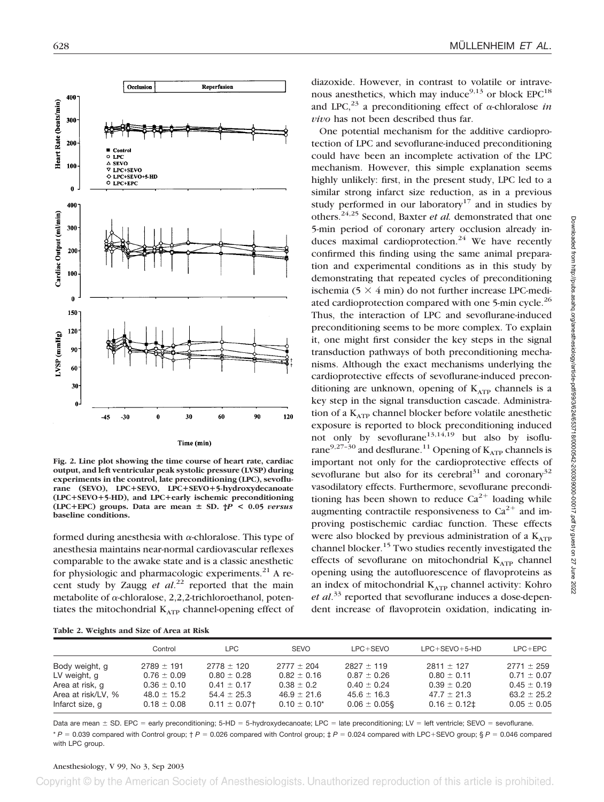

**Fig. 2. Line plot showing the time course of heart rate, cardiac output, and left ventricular peak systolic pressure (LVSP) during experiments in the control, late preconditioning (LPC), sevoflurane (SEVO), LPC**-**SEVO, LPC**-**SEVO**-**5-hydroxydecanoate (LPC**-**SEVO**-**5-HD), and LPC**-**early ischemic preconditioning (LPC**-**EPC) groups. Data are mean SD. †***P* **< 0.05** *versus* **baseline conditions.**

formed during anesthesia with  $\alpha$ -chloralose. This type of anesthesia maintains near-normal cardiovascular reflexes comparable to the awake state and is a classic anesthetic for physiologic and pharmacologic experiments. $^{21}$  A recent study by Zaugg *et al*. <sup>22</sup> reported that the main metabolite of  $\alpha$ -chloralose, 2,2,2-trichloroethanol, potentiates the mitochondrial  $K_{ATP}$  channel-opening effect of

**Table 2. Weights and Size of Area at Risk**

diazoxide. However, in contrast to volatile or intravenous anesthetics, which may induce<sup>9,13</sup> or block  $EPC^{18}$ and LPC,<sup>23</sup> a preconditioning effect of  $\alpha$ -chloralose *in vivo* has not been described thus far.

One potential mechanism for the additive cardioprotection of LPC and sevoflurane-induced preconditioning could have been an incomplete activation of the LPC mechanism. However, this simple explanation seems highly unlikely: first, in the present study, LPC led to a similar strong infarct size reduction, as in a previous study performed in our laboratory<sup>17</sup> and in studies by others.24,25 Second, Baxter *et al.* demonstrated that one 5-min period of coronary artery occlusion already induces maximal cardioprotection.<sup>24</sup> We have recently confirmed this finding using the same animal preparation and experimental conditions as in this study by demonstrating that repeated cycles of preconditioning ischemia (5  $\times$  4 min) do not further increase LPC-mediated cardioprotection compared with one 5-min cycle.<sup>26</sup> Thus, the interaction of LPC and sevoflurane-induced preconditioning seems to be more complex. To explain it, one might first consider the key steps in the signal transduction pathways of both preconditioning mechanisms. Although the exact mechanisms underlying the cardioprotective effects of sevoflurane-induced preconditioning are unknown, opening of  $K_{ATP}$  channels is a key step in the signal transduction cascade. Administration of a K<sub>ATP</sub> channel blocker before volatile anesthetic exposure is reported to block preconditioning induced not only by sevoflurane<sup>13,14,19</sup> but also by isoflurane<sup>9,27-30</sup> and desflurane.<sup>11</sup> Opening of  $K_{ATP}$  channels is important not only for the cardioprotective effects of sevoflurane but also for its cerebral<sup>31</sup> and coronary<sup>32</sup> vasodilatory effects. Furthermore, sevoflurane preconditioning has been shown to reduce  $Ca^{2+}$  loading while augmenting contractile responsiveness to  $Ca^{2+}$  and improving postischemic cardiac function. These effects were also blocked by previous administration of a  $K_{ATP}$ channel blocker.<sup>15</sup> Two studies recently investigated the effects of sevoflurane on mitochondrial  $K_{ATP}$  channel opening using the autofluorescence of flavoproteins as an index of mitochondrial  $K_{ATP}$  channel activity: Kohro *et al*. <sup>33</sup> reported that sevoflurane induces a dose-dependent increase of flavoprotein oxidation, indicating in-

|                    | Control         | LPC.            | <b>SEVO</b>       | $LPC+SEVO$        | $LPC+SEVO+5-HD$ | $LPC + EPC$     |
|--------------------|-----------------|-----------------|-------------------|-------------------|-----------------|-----------------|
| Body weight, g     | $2789 \pm 191$  | $2778 \pm 120$  | $2777 \pm 204$    | $2827 \pm 119$    | $2811 \pm 127$  | $2771 \pm 259$  |
| LV weight, g       | $0.76 \pm 0.09$ | $0.80 \pm 0.28$ | $0.82 \pm 0.16$   | $0.87 \pm 0.26$   | $0.80 \pm 0.11$ | $0.71 \pm 0.07$ |
| Area at risk, q    | $0.36 \pm 0.10$ | $0.41 \pm 0.17$ | $0.38 \pm 0.2$    | $0.40 \pm 0.24$   | $0.39 \pm 0.20$ | $0.45 \pm 0.19$ |
| Area at risk/LV, % | $48.0 \pm 15.2$ | $54.4 \pm 25.3$ | $46.9 \pm 21.6$   | $45.6 \pm 16.3$   | $47.7 \pm 21.3$ | $63.2 \pm 25.2$ |
| Infarct size, q    | $0.18 \pm 0.08$ | $0.11 \pm 0.07$ | $0.10 \pm 0.10^*$ | $0.06 \pm 0.05$ § | $0.16 \pm 0.12$ | $0.05 \pm 0.05$ |

Data are mean  $\pm$  SD. EPC = early preconditioning; 5-HD = 5-hydroxydecanoate; LPC = late preconditioning; LV = left ventricle; SEVO = sevoflurane. \* *P* 0.039 compared with Control group; † *P* 0.026 compared with Control group; ‡ *P* 0.024 compared with LPC-SEVO group; § *P* 0.046 compared with LPC group.

#### Anesthesiology, V 99, No 3, Sep 2003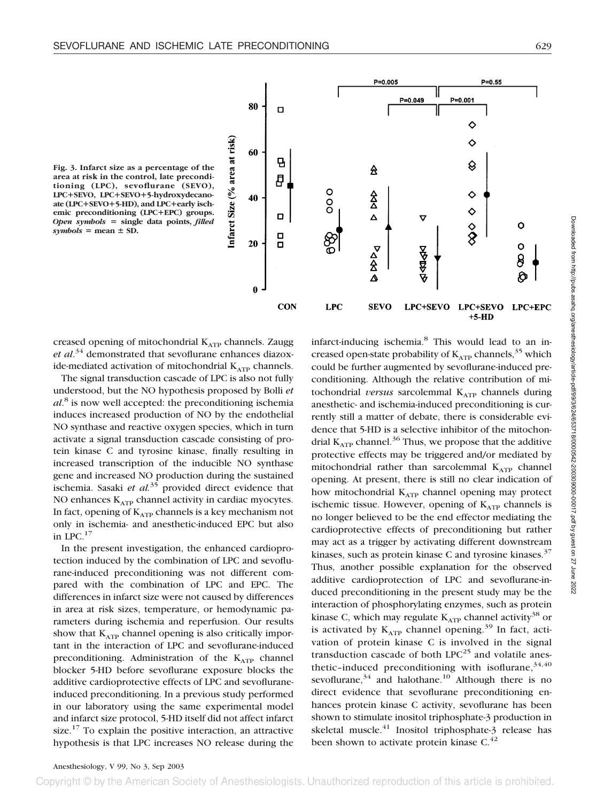

**Fig. 3. Infarct size as a percentage of the area at risk in the control, late preconditioning (LPC), sevoflurane (SEVO), LPC**-**SEVO, LPC**-**SEVO**-**5-hydroxydecanoate (LPC**-**SEVO**-**5-HD), and LPC**-**early ischemic preconditioning (LPC**-**EPC) groups.** *Open symbols* **single data points,** *filled*  $symbols$ symbols = mean  $\pm$  SD.

creased opening of mitochondrial  $K_{ATP}$  channels. Zaugg *et al*. <sup>34</sup> demonstrated that sevoflurane enhances diazoxide-mediated activation of mitochondrial  $K_{ATP}$  channels.

The signal transduction cascade of LPC is also not fully understood, but the NO hypothesis proposed by Bolli *et al*. <sup>8</sup> is now well accepted: the preconditioning ischemia induces increased production of NO by the endothelial NO synthase and reactive oxygen species, which in turn activate a signal transduction cascade consisting of protein kinase C and tyrosine kinase, finally resulting in increased transcription of the inducible NO synthase gene and increased NO production during the sustained ischemia. Sasaki *et al.*<sup>35</sup> provided direct evidence that NO enhances  $K_{ATP}$  channel activity in cardiac myocytes. In fact, opening of  $K_{ATP}$  channels is a key mechanism not only in ischemia- and anesthetic-induced EPC but also in LPC.17

In the present investigation, the enhanced cardioprotection induced by the combination of LPC and sevoflurane-induced preconditioning was not different compared with the combination of LPC and EPC. The differences in infarct size were not caused by differences in area at risk sizes, temperature, or hemodynamic parameters during ischemia and reperfusion. Our results show that  $K_{ATP}$  channel opening is also critically important in the interaction of LPC and sevoflurane-induced preconditioning. Administration of the  $K_{ATP}$  channel blocker 5-HD before sevoflurane exposure blocks the additive cardioprotective effects of LPC and sevofluraneinduced preconditioning. In a previous study performed in our laboratory using the same experimental model and infarct size protocol, 5-HD itself did not affect infarct size. $17$  To explain the positive interaction, an attractive hypothesis is that LPC increases NO release during the infarct-inducing ischemia.<sup>8</sup> This would lead to an increased open-state probability of  $K_{ATP}$  channels,<sup>35</sup> which could be further augmented by sevoflurane-induced preconditioning. Although the relative contribution of mitochondrial *versus* sarcolemmal  $K_{ATP}$  channels during anesthetic- and ischemia-induced preconditioning is currently still a matter of debate, there is considerable evidence that 5-HD is a selective inhibitor of the mitochondrial  $K_{ATP}$  channel.<sup>36</sup> Thus, we propose that the additive protective effects may be triggered and/or mediated by mitochondrial rather than sarcolemmal  $K_{ATP}$  channel opening. At present, there is still no clear indication of how mitochondrial K<sub>ATP</sub> channel opening may protect ischemic tissue. However, opening of  $K_{ATP}$  channels is no longer believed to be the end effector mediating the cardioprotective effects of preconditioning but rather may act as a trigger by activating different downstream kinases, such as protein kinase C and tyrosine kinases. $37$ Thus, another possible explanation for the observed additive cardioprotection of LPC and sevoflurane-induced preconditioning in the present study may be the interaction of phosphorylating enzymes, such as protein kinase C, which may regulate  $K_{ATP}$  channel activity<sup>38</sup> or is activated by  $K_{ATP}$  channel opening.<sup>39</sup> In fact, activation of protein kinase C is involved in the signal transduction cascade of both  $LPC^{25}$  and volatile anesthetic-induced preconditioning with isoflurane,  $34,40$ sevoflurane,  $34$  and halothane.<sup>10</sup> Although there is no direct evidence that sevoflurane preconditioning enhances protein kinase C activity, sevoflurane has been shown to stimulate inositol triphosphate-3 production in skeletal muscle.<sup>41</sup> Inositol triphosphate-3 release has been shown to activate protein kinase  $C<sup>42</sup>$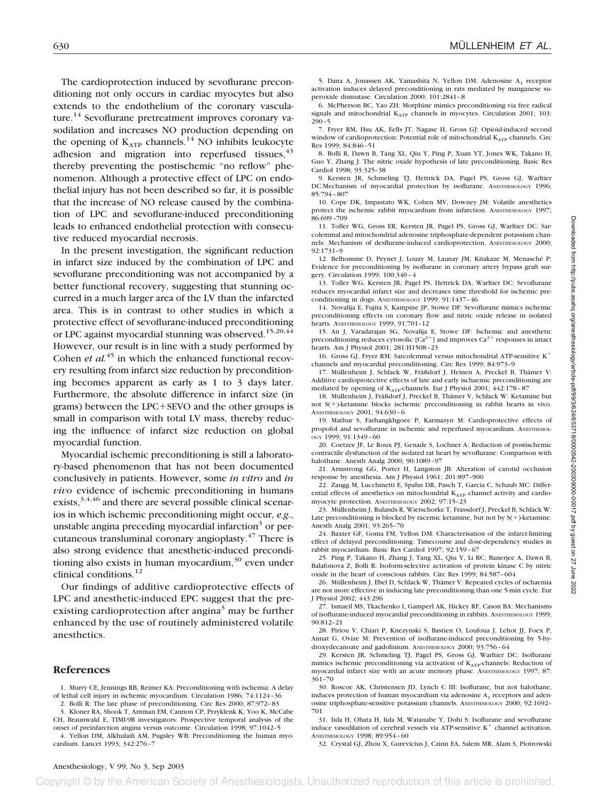The cardioprotection induced by sevoflurane preconditioning not only occurs in cardiac myocytes but also extends to the endothelium of the coronary vasculature.<sup>14</sup> Sevoflurane pretreatment improves coronary vasodilation and increases NO production depending on the opening of  $K_{ATP}$  channels.<sup>14</sup> NO inhibits leukocyte adhesion and migration into reperfused tissues,  $43$ thereby preventing the postischemic "no reflow" phenomenon. Although a protective effect of LPC on endothelial injury has not been described so far, it is possible that the increase of NO release caused by the combination of LPC and sevoflurane-induced preconditioning leads to enhanced endothelial protection with consecutive reduced myocardial necrosis.

In the present investigation, the significant reduction in infarct size induced by the combination of LPC and sevoflurane preconditioning was not accompanied by a better functional recovery, suggesting that stunning occurred in a much larger area of the LV than the infarcted area. This is in contrast to other studies in which a protective effect of sevoflurane-induced preconditioning or LPC against myocardial stunning was observed.<sup>15,20,44</sup> However, our result is in line with a study performed by Cohen *et al.*<sup>45</sup> in which the enhanced functional recovery resulting from infarct size reduction by preconditioning becomes apparent as early as 1 to 3 days later. Furthermore, the absolute difference in infarct size (in grams) between the LPC-SEVO and the other groups is small in comparison with total LV mass, thereby reducing the influence of infarct size reduction on global myocardial function.

Myocardial ischemic preconditioning is still a laboratory-based phenomenon that has not been documented conclusively in patients. However, some *in vitro* and *in vivo* evidence of ischemic preconditioning in humans exists,  $3,4,46$  and there are several possible clinical scenarios in which ischemic preconditioning might occur, *e.g.*, unstable angina preceding myocardial infarction $3$  or percutaneous transluminal coronary angioplasty.47 There is also strong evidence that anesthetic-induced preconditioning also exists in human myocardium, $30$  even under clinical conditions.12

Our findings of additive cardioprotective effects of LPC and anesthetic-induced EPC suggest that the preexisting cardioprotection after angina<sup>3</sup> may be further enhanced by the use of routinely administered volatile anesthetics.

#### **References**

1. Murry CE, Jennings RB, Reimer KA: Preconditioning with ischemia: A delay of lethal cell injury in ischemic myocardium. Circulation 1986; 74:1124–36 2. Bolli R: The late phase of preconditioning. Circ Res 2000; 87:972–83

3. Kloner RA, Shook T, Antman EM, Cannon CP, Przyklenk K, Yoo K, McCabe CH, Braunwald E, TIMI-9B investigators: Prospective temporal analysis of the

onset of preinfarction angina versus outcome. Circulation 1998; 97:1042–5 4. Yellon DM, Alkhulaifi AM, Pugsley WB: Preconditioning the human myocardium. Lancet 1993; 342:276–7

5. Dana A, Jonassen AK, Yamashita N, Yellon DM: Adenosine A<sub>1</sub> receptor activation induces delayed preconditioning in rats mediated by manganese superoxide dismutase. Circulation 2000; 101:2841–8

6. McPherson BC, Yao ZH: Morphine mimics preconditioning via free radical signals and mitochondrial  $K_{ATP}$  channels in myocytes. Circulation 2001; 103: 290–5

7. Fryer RM, Hsu AK, Eells JT, Nagase H, Gross GJ: Opioid-induced second window of cardioprotection: Potential role of mitochondrial  $K_{\text{ATP}}$  channels. Circ Res 1999; 84:846–51

8. Bolli R, Dawn B, Tang XL, Qiu Y, Ping P, Xuan YT, Jones WK, Takano H, Guo Y, Zhang J: The nitric oxide hypothesis of late preconditioning. Basic Res Cardiol 1998; 93:325–38

9. Kersten JR, Schmeling TJ, Hettrick DA, Pagel PS, Gross GJ, Warltier DC:Mechanism of myocardial protection by isoflurane. ANESTHESIOLOGY 1996; 85:794–807

10. Cope DK, Impastato WK, Cohen MV, Downey JM: Volatile anesthetics protect the ischemic rabbit myocardium from infarction. ANESTHESIOLOGY 1997; 86:699–709

11. Toller WG, Gross ER, Kersten JR, Pagel PS, Gross GJ, Warltier DC: Sarcolemmal and mitochondrial adenosine triphosphate-dependent potassium channels: Mechanism of desflurane-induced cardioprotection. ANESTHESIOLOGY 2000; 92:1731–9

12. Belhomme D, Peynet J, Louzy M, Launay JM, Kitakaze M, Menasché P: Evidence for preconditioning by isoflurane in coronary artery bypass graft surgery. Circulation 1999; 100:340–4

13. Toller WG, Kersten JR, Pagel PS, Hettrick DA, Warltier DC: Sevoflurane reduces myocardial infarct size and decreases time threshold for ischemic preconditioning in dogs. ANESTHESIOLOGY 1999; 91:1437–46

14. Novalija E, Fujita S, Kampine JP, Stowe DF: Sevoflurane mimics ischemic preconditioning effects on coronary flow and nitric oxide release in isolated hearts. ANESTHESIOLOGY 1999; 91:701–12

15. An J, Varadarajan SG, Novalija E, Stowe DF: Ischemic and anesthetic preconditioning reduces cytosolic  $[Ca^{2+}]$  and improves  $Ca^{2+}$  responses in intact hearts. Am J Physiol 2001; 281:H1508–23

16. Gross GJ, Fryer RM: Sarcolemmal versus mitochondrial ATP-sensitive K channels and myocardial preconditioning. Circ Res 1999; 84:973–9

17. Müllenheim J, Schlack W, Fräßdorf J, Heinen A, Preckel B, Thämer V: Additive cardioprotective effects of late and early ischaemic preconditioning are mediated by opening of KATP-channels. Eur J Physiol 2001; 442:178-87

18. Müllenheim J, Fräßdorf J, Preckel B, Thämer V, Schlack W: Ketamine but not S(+)-ketamine blocks ischemic preconditioning in rabbit hearts in vivo. ANESTHESIOLOGY 2001; 94:630–6

19. Mathur S, Farhangkhgoee P, Karmazyn M: Cardioprotective effects of propofol and sevoflurane in ischemic and reperfused myocardium. ANESTHESIOL-OGY 1999; 91:1349–60

20. Coetzee JF, Le Roux PJ, Genade S, Lochner A: Reduction of postischemic contractile dysfunction of the isolated rat heart by sevoflurane: Comparison with halothane. Anesth Analg 2000; 90:1089–97

21. Armstrong GG, Porter H, Langston JB: Alteration of carotid occlusion response by anesthesia. Am J Physiol 1961; 201:897–900

22. Zaugg M, Lucchinetti E, Spahn DR, Pasch T, Garcia C, Schaub MC: Differential effects of anesthetics on mitochondrial  $K_{ATP}$  channel activity and cardiomyocyte protection. ANESTHESIOLOGY 2002; 97:15–23

23. Müllenheim J, Rulands R, Wietschorke T, Frassdorf J, Preckel B, Schlack W: Late preconditioning is blocked by racemic ketamine, but not by  $S(+)$ -ketamine. Anesth Analg 2001; 93:265–70

24. Baxter GF, Goma FM, Yellon DM: Characterisation of the infarct-limiting effect of delayed preconditioning: Timecourse and dose-dependency studies in rabbit myocardium. Basic Res Cardiol 1997; 92:159–67

25. Ping P, Takano H, Zhang J, Tang XL, Qiu Y, Li RC, Banerjee A, Dawn B, Balafonova Z, Bolli R: Isoform-selective activation of protein kinase C by nitric oxide in the heart of conscious rabbits. Circ Res 1999; 84:587–604

26. Müllenheim J, Ebel D, Schlack W, Thämer V: Repeated cycles of ischaemia are not more effective in inducing late preconditioning than one 5-min cycle. Eur J Physiol 2002; 443:296

27. Ismaeil MS, Tkachenko I, Gamperl AK, Hickey RF, Cason BA: Mechanisms of isoflurane-induced myocardial preconditioning in rabbits. ANESTHESIOLOGY 1999; 90:812–21

28. Piriou V, Chiari P, Knezynski S, Bastien O, Loufoua J, Lehot JJ, Foex P, Annat G, Ovize M: Prevention of isoflurane-induced preconditioning by 5-hydroxydecanoate and gadolinium. ANESTHESIOLOGY 2000; 93:756–64

29. Kersten JR, Schmeling TJ, Pagel PS, Gross GJ, Warltier DC: Isoflurane mimics ischemic preconditioning via activation of  $K_{ATP}$ -channels: Reduction of myocardial infarct size with an acute memory phase. ANESTHESIOLOGY 1997; 87: 361–70

30. Roscoe AK, Christensen JD, Lynch C III: Isoflurane, but not halothane, induces protection of human myocardium via adenosine  $A_1$  receptors and adenosine triphosphate-sensitive potassium channels. ANESTHESIOLOGY 2000; 92:1692– 701

31. Iida H, Ohata H, Iida M, Watanabe Y, Dohi S: Isoflurane and sevoflurane induce vasodilation of cerebral vessels via ATP-sensitive  $K^+$  channel activation. ANESTHESIOLOGY 1998; 89:954–60

32. Crystal GJ, Zhou X, Gurevicius J, Czinn EA, Salem MR, Alam S, Piotrowski